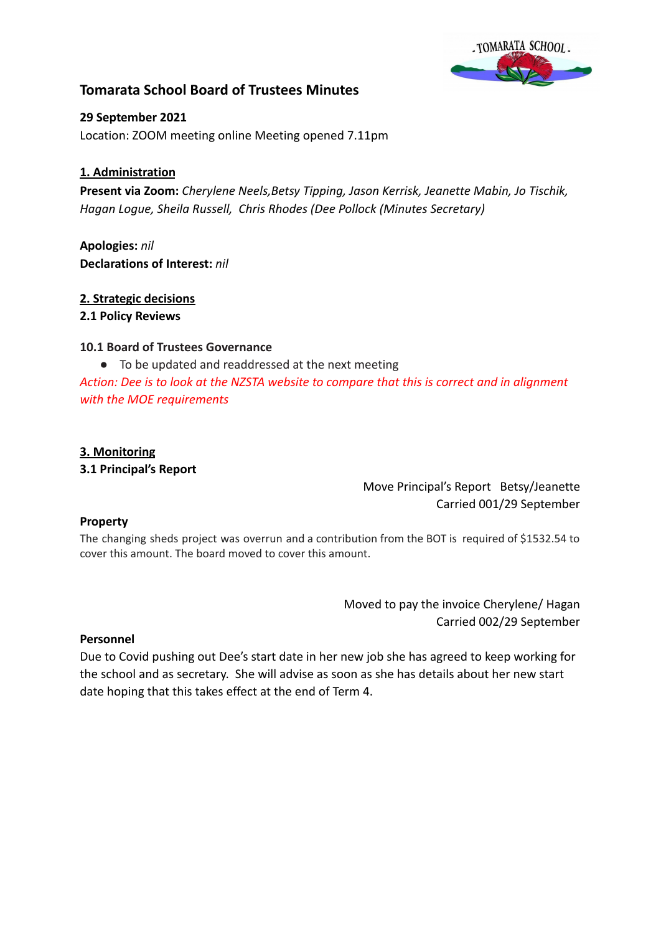

# **Tomarata School Board of Trustees Minutes**

**29 September 2021** Location: ZOOM meeting online Meeting opened 7.11pm

## **1. Administration**

**Present via Zoom:** *Cherylene Neels,Betsy Tipping, Jason Kerrisk, Jeanette Mabin, Jo Tischik, Hagan Logue, Sheila Russell, Chris Rhodes (Dee Pollock (Minutes Secretary)*

**Apologies:** *nil* **Declarations of Interest:** *nil*

### **2. Strategic decisions**

### **2.1 Policy Reviews**

### **10.1 Board of Trustees Governance**

● To be updated and readdressed at the next meeting

*Action: Dee is to look at the NZSTA website to compare that this is correct and in alignment with the MOE requirements*

### **3. Monitoring**

**3.1 Principal's Report**

Move Principal's Report Betsy/Jeanette Carried 001/29 September

### **Property**

The changing sheds project was overrun and a contribution from the BOT is required of \$1532.54 to cover this amount. The board moved to cover this amount.

> Moved to pay the invoice Cherylene/ Hagan Carried 002/29 September

### **Personnel**

Due to Covid pushing out Dee's start date in her new job she has agreed to keep working for the school and as secretary. She will advise as soon as she has details about her new start date hoping that this takes effect at the end of Term 4.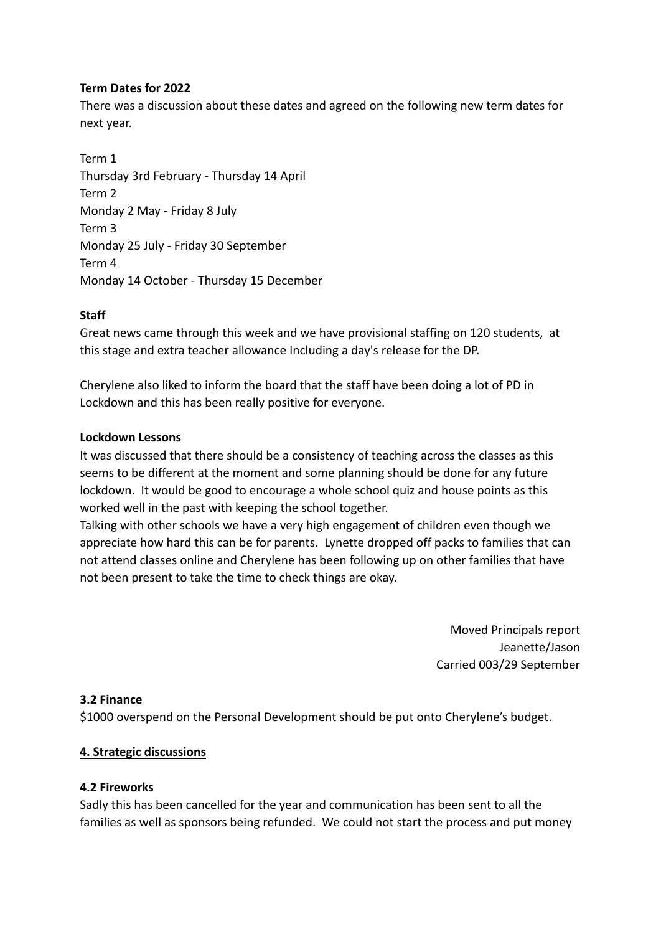### **Term Dates for 2022**

There was a discussion about these dates and agreed on the following new term dates for next year.

Term 1 Thursday 3rd February - Thursday 14 April Term 2 Monday 2 May - Friday 8 July Term 3 Monday 25 July - Friday 30 September Term 4 Monday 14 October - Thursday 15 December

### **Staff**

Great news came through this week and we have provisional staffing on 120 students, at this stage and extra teacher allowance Including a day's release for the DP.

Cherylene also liked to inform the board that the staff have been doing a lot of PD in Lockdown and this has been really positive for everyone.

### **Lockdown Lessons**

It was discussed that there should be a consistency of teaching across the classes as this seems to be different at the moment and some planning should be done for any future lockdown. It would be good to encourage a whole school quiz and house points as this worked well in the past with keeping the school together.

Talking with other schools we have a very high engagement of children even though we appreciate how hard this can be for parents. Lynette dropped off packs to families that can not attend classes online and Cherylene has been following up on other families that have not been present to take the time to check things are okay.

> Moved Principals report Jeanette/Jason Carried 003/29 September

### **3.2 Finance**

\$1000 overspend on the Personal Development should be put onto Cherylene's budget.

### **4. Strategic discussions**

### **4.2 Fireworks**

Sadly this has been cancelled for the year and communication has been sent to all the families as well as sponsors being refunded. We could not start the process and put money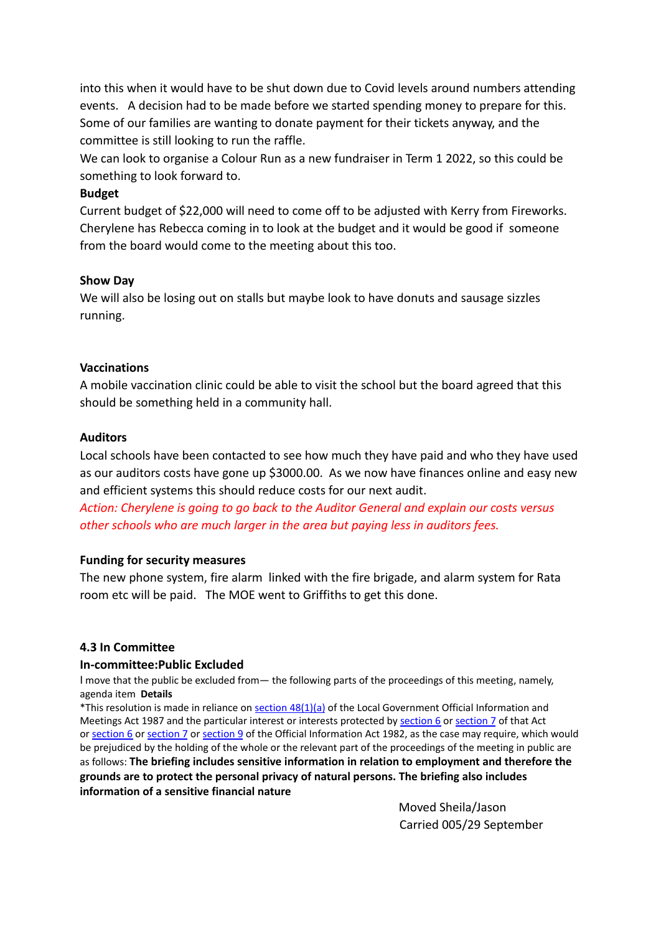into this when it would have to be shut down due to Covid levels around numbers attending events. A decision had to be made before we started spending money to prepare for this. Some of our families are wanting to donate payment for their tickets anyway, and the committee is still looking to run the raffle.

We can look to organise a Colour Run as a new fundraiser in Term 1 2022, so this could be something to look forward to.

### **Budget**

Current budget of \$22,000 will need to come off to be adjusted with Kerry from Fireworks. Cherylene has Rebecca coming in to look at the budget and it would be good if someone from the board would come to the meeting about this too.

### **Show Day**

We will also be losing out on stalls but maybe look to have donuts and sausage sizzles running.

### **Vaccinations**

A mobile vaccination clinic could be able to visit the school but the board agreed that this should be something held in a community hall.

### **Auditors**

Local schools have been contacted to see how much they have paid and who they have used as our auditors costs have gone up \$3000.00. As we now have finances online and easy new and efficient systems this should reduce costs for our next audit.

*Action: Cherylene is going to go back to the Auditor General and explain our costs versus other schools who are much larger in the area but paying less in auditors fees.*

### **Funding for security measures**

The new phone system, fire alarm linked with the fire brigade, and alarm system for Rata room etc will be paid. The MOE went to Griffiths to get this done.

### **4.3 In Committee**

### **In-committee:Public Excluded**

I move that the public be excluded from— the following parts of the proceedings of this meeting, namely, agenda item **Details**

\*This resolution is made in reliance on section  $48(1)(a)$  of the Local Government Official Information and Meetings Act 1987 and the particular interest or interests protected by [section](http://www.legislation.govt.nz/act/public/1987/0174/latest/link.aspx?id=DLM122287#DLM122287) 6 or section 7 of that Act or [section](http://www.legislation.govt.nz/act/public/1987/0174/latest/link.aspx?id=DLM65366#DLM65366) 6 or [section](http://www.legislation.govt.nz/act/public/1987/0174/latest/link.aspx?id=DLM65368#DLM65368) 7 or [section](http://www.legislation.govt.nz/act/public/1987/0174/latest/link.aspx?id=DLM65371#DLM65371) 9 of the Official Information Act 1982, as the case may require, which would be prejudiced by the holding of the whole or the relevant part of the proceedings of the meeting in public are as follows: **The briefing includes sensitive information in relation to employment and therefore the grounds are to protect the personal privacy of natural persons. The briefing also includes information of a sensitive financial nature**

> Moved Sheila/Jason Carried 005/29 September